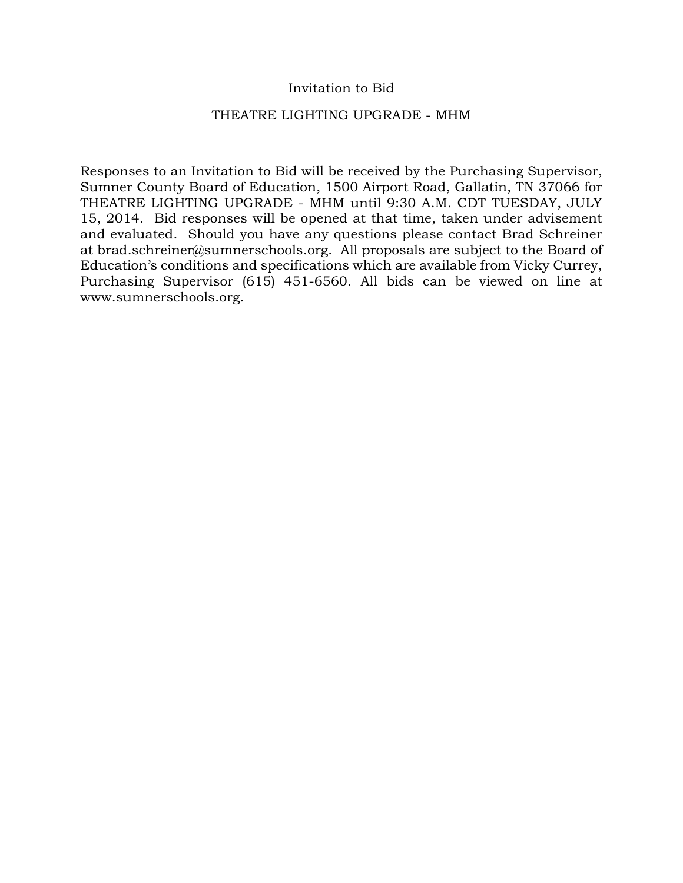### Invitation to Bid

#### THEATRE LIGHTING UPGRADE - MHM

Responses to an Invitation to Bid will be received by the Purchasing Supervisor, Sumner County Board of Education, 1500 Airport Road, Gallatin, TN 37066 for THEATRE LIGHTING UPGRADE - MHM until 9:30 A.M. CDT TUESDAY, JULY 15, 2014. Bid responses will be opened at that time, taken under advisement and evaluated. Should you have any questions please contact Brad Schreiner at brad.schreiner@sumnerschools.org. All proposals are subject to the Board of Education's conditions and specifications which are available from Vicky Currey, Purchasing Supervisor (615) 451-6560. All bids can be viewed on line at www.sumnerschools.org.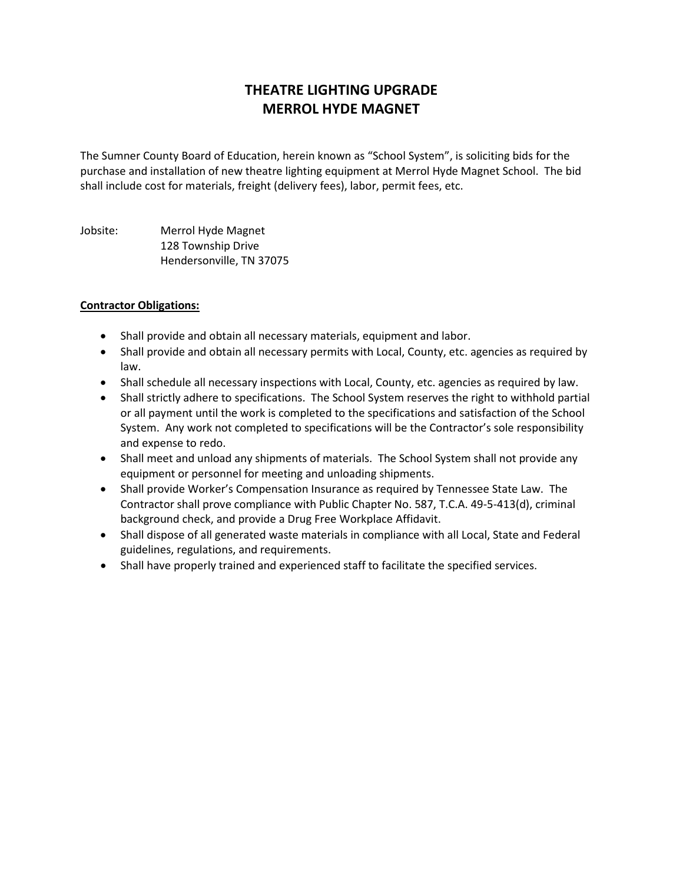# **THEATRE LIGHTING UPGRADE MERROL HYDE MAGNET**

The Sumner County Board of Education, herein known as "School System", is soliciting bids for the purchase and installation of new theatre lighting equipment at Merrol Hyde Magnet School. The bid shall include cost for materials, freight (delivery fees), labor, permit fees, etc.

Jobsite: Merrol Hyde Magnet 128 Township Drive Hendersonville, TN 37075

#### **Contractor Obligations:**

- Shall provide and obtain all necessary materials, equipment and labor.
- Shall provide and obtain all necessary permits with Local, County, etc. agencies as required by law.
- Shall schedule all necessary inspections with Local, County, etc. agencies as required by law.
- Shall strictly adhere to specifications. The School System reserves the right to withhold partial or all payment until the work is completed to the specifications and satisfaction of the School System. Any work not completed to specifications will be the Contractor's sole responsibility and expense to redo.
- Shall meet and unload any shipments of materials. The School System shall not provide any equipment or personnel for meeting and unloading shipments.
- Shall provide Worker's Compensation Insurance as required by Tennessee State Law. The Contractor shall prove compliance with Public Chapter No. 587, T.C.A. 49-5-413(d), criminal background check, and provide a Drug Free Workplace Affidavit.
- Shall dispose of all generated waste materials in compliance with all Local, State and Federal guidelines, regulations, and requirements.
- Shall have properly trained and experienced staff to facilitate the specified services.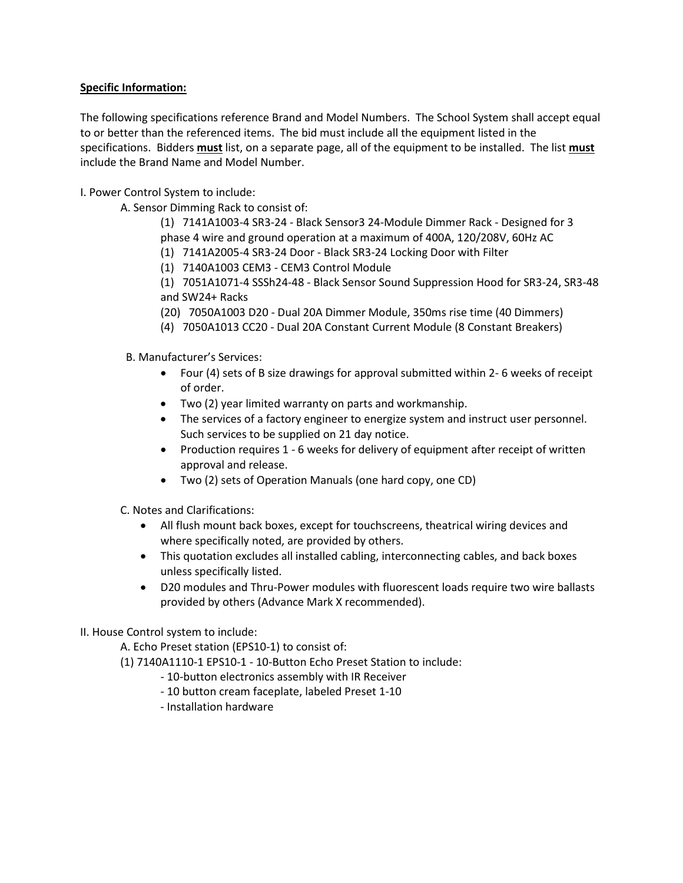#### **Specific Information:**

The following specifications reference Brand and Model Numbers. The School System shall accept equal to or better than the referenced items. The bid must include all the equipment listed in the specifications. Bidders **must** list, on a separate page, all of the equipment to be installed. The list **must** include the Brand Name and Model Number.

I. Power Control System to include:

A. Sensor Dimming Rack to consist of:

(1) 7141A1003-4 SR3-24 - Black Sensor3 24-Module Dimmer Rack - Designed for 3 phase 4 wire and ground operation at a maximum of 400A, 120/208V, 60Hz AC

(1) 7141A2005-4 SR3-24 Door - Black SR3-24 Locking Door with Filter

(1) 7140A1003 CEM3 - CEM3 Control Module

(1) 7051A1071-4 SSSh24-48 - Black Sensor Sound Suppression Hood for SR3-24, SR3-48 and SW24+ Racks

(20) 7050A1003 D20 - Dual 20A Dimmer Module, 350ms rise time (40 Dimmers)

- (4) 7050A1013 CC20 Dual 20A Constant Current Module (8 Constant Breakers)
- B. Manufacturer's Services:
	- Four (4) sets of B size drawings for approval submitted within 2- 6 weeks of receipt of order.
	- Two (2) year limited warranty on parts and workmanship.
	- The services of a factory engineer to energize system and instruct user personnel. Such services to be supplied on 21 day notice.
	- Production requires 1 6 weeks for delivery of equipment after receipt of written approval and release.
	- Two (2) sets of Operation Manuals (one hard copy, one CD)

C. Notes and Clarifications:

- All flush mount back boxes, except for touchscreens, theatrical wiring devices and where specifically noted, are provided by others.
- This quotation excludes all installed cabling, interconnecting cables, and back boxes unless specifically listed.
- D20 modules and Thru-Power modules with fluorescent loads require two wire ballasts provided by others (Advance Mark X recommended).

#### II. House Control system to include:

A. Echo Preset station (EPS10-1) to consist of:

(1) 7140A1110-1 EPS10-1 - 10-Button Echo Preset Station to include:

- 10-button electronics assembly with IR Receiver
- 10 button cream faceplate, labeled Preset 1-10
- Installation hardware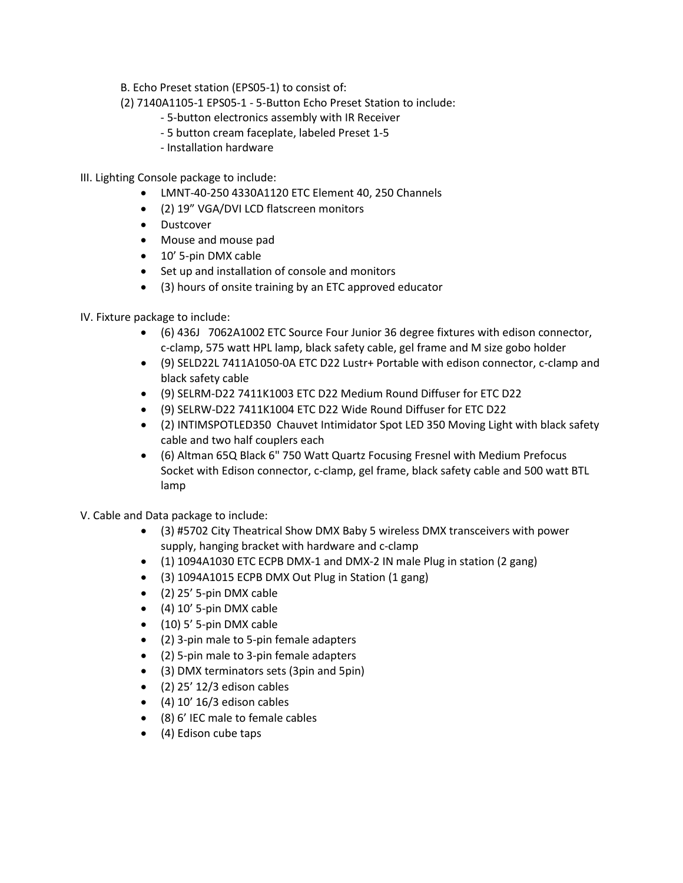B. Echo Preset station (EPS05-1) to consist of:

- (2) 7140A1105-1 EPS05-1 5-Button Echo Preset Station to include:
	- 5-button electronics assembly with IR Receiver
	- 5 button cream faceplate, labeled Preset 1-5
	- Installation hardware
- III. Lighting Console package to include:
	- LMNT-40-250 4330A1120 ETC Element 40, 250 Channels
	- (2) 19" VGA/DVI LCD flatscreen monitors
	- Dustcover
	- Mouse and mouse pad
	- 10' 5-pin DMX cable
	- Set up and installation of console and monitors
	- (3) hours of onsite training by an ETC approved educator
- IV. Fixture package to include:
	- (6) 436J 7062A1002 ETC Source Four Junior 36 degree fixtures with edison connector, c-clamp, 575 watt HPL lamp, black safety cable, gel frame and M size gobo holder
	- (9) SELD22L 7411A1050-0A ETC D22 Lustr+ Portable with edison connector, c-clamp and black safety cable
	- (9) SELRM-D22 7411K1003 ETC D22 Medium Round Diffuser for ETC D22
	- (9) SELRW-D22 7411K1004 ETC D22 Wide Round Diffuser for ETC D22
	- (2) INTIMSPOTLED350 Chauvet Intimidator Spot LED 350 Moving Light with black safety cable and two half couplers each
	- (6) Altman 65Q Black 6" 750 Watt Quartz Focusing Fresnel with Medium Prefocus Socket with Edison connector, c-clamp, gel frame, black safety cable and 500 watt BTL lamp
- V. Cable and Data package to include:
	- (3) #5702 City Theatrical Show DMX Baby 5 wireless DMX transceivers with power supply, hanging bracket with hardware and c-clamp
	- (1) 1094A1030 ETC ECPB DMX-1 and DMX-2 IN male Plug in station (2 gang)
	- (3) 1094A1015 ECPB DMX Out Plug in Station (1 gang)
	- (2) 25' 5-pin DMX cable
	- (4) 10' 5-pin DMX cable
	- (10) 5' 5-pin DMX cable
	- (2) 3-pin male to 5-pin female adapters
	- (2) 5-pin male to 3-pin female adapters
	- (3) DMX terminators sets (3pin and 5pin)
	- $\bullet$  (2) 25' 12/3 edison cables
	- $\bullet$  (4) 10' 16/3 edison cables
	- (8) 6' IEC male to female cables
	- (4) Edison cube taps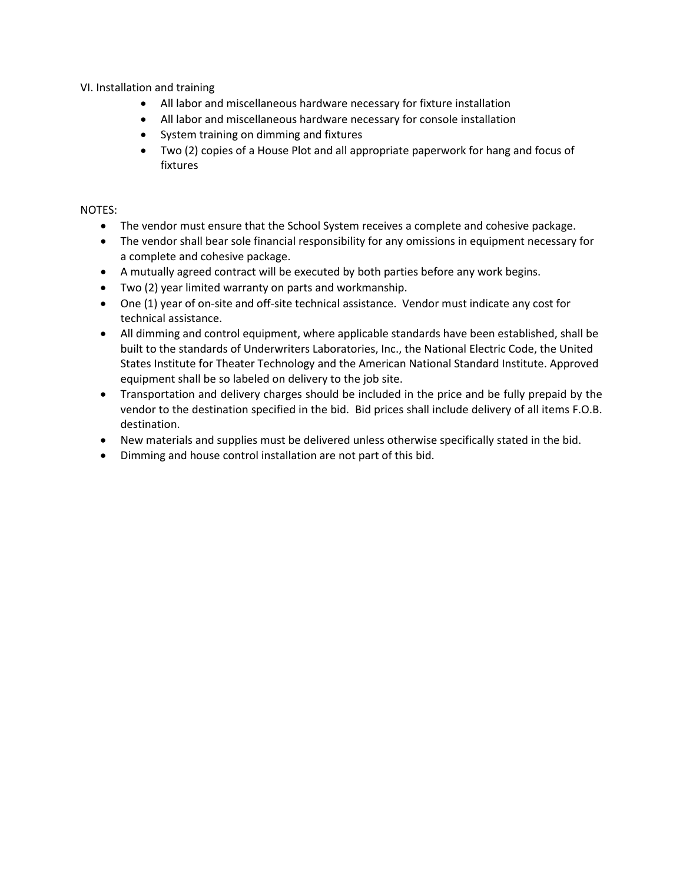VI. Installation and training

- All labor and miscellaneous hardware necessary for fixture installation
- All labor and miscellaneous hardware necessary for console installation
- System training on dimming and fixtures
- Two (2) copies of a House Plot and all appropriate paperwork for hang and focus of fixtures

#### NOTES:

- The vendor must ensure that the School System receives a complete and cohesive package.
- The vendor shall bear sole financial responsibility for any omissions in equipment necessary for a complete and cohesive package.
- A mutually agreed contract will be executed by both parties before any work begins.
- Two (2) year limited warranty on parts and workmanship.
- One (1) year of on-site and off-site technical assistance. Vendor must indicate any cost for technical assistance.
- All dimming and control equipment, where applicable standards have been established, shall be built to the standards of Underwriters Laboratories, Inc., the National Electric Code, the United States Institute for Theater Technology and the American National Standard Institute. Approved equipment shall be so labeled on delivery to the job site.
- Transportation and delivery charges should be included in the price and be fully prepaid by the vendor to the destination specified in the bid. Bid prices shall include delivery of all items F.O.B. destination.
- New materials and supplies must be delivered unless otherwise specifically stated in the bid.
- Dimming and house control installation are not part of this bid.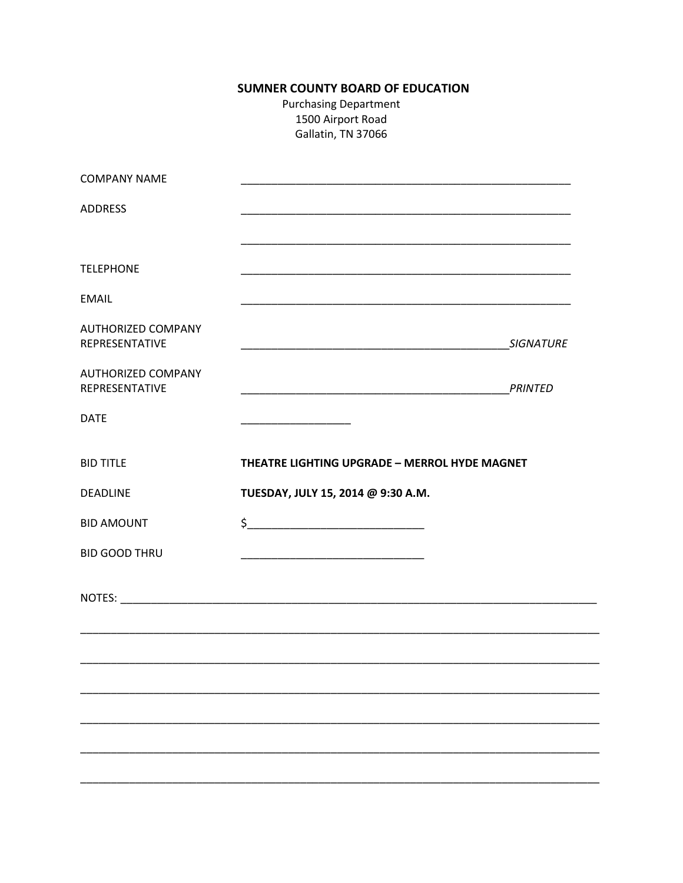## SUMNER COUNTY BOARD OF EDUCATION

**Purchasing Department** 1500 Airport Road Gallatin, TN 37066

| <b>COMPANY NAME</b>                         |                                                                                                                       |         |
|---------------------------------------------|-----------------------------------------------------------------------------------------------------------------------|---------|
| <b>ADDRESS</b>                              |                                                                                                                       |         |
| <b>TELEPHONE</b>                            |                                                                                                                       |         |
| <b>EMAIL</b>                                |                                                                                                                       |         |
| <b>AUTHORIZED COMPANY</b><br>REPRESENTATIVE |                                                                                                                       |         |
| <b>AUTHORIZED COMPANY</b><br>REPRESENTATIVE |                                                                                                                       | PRINTED |
| <b>DATE</b>                                 | <u> 1989 - Johann John Stone, mars et al. 1989 - 1989 - 1989 - 1989 - 1989 - 1989 - 1989 - 1989 - 1989 - 1989 - 1</u> |         |
| <b>BID TITLE</b>                            | THEATRE LIGHTING UPGRADE - MERROL HYDE MAGNET                                                                         |         |
| <b>DEADLINE</b>                             | TUESDAY, JULY 15, 2014 @ 9:30 A.M.                                                                                    |         |
| <b>BID AMOUNT</b>                           | $\frac{1}{2}$                                                                                                         |         |
| <b>BID GOOD THRU</b>                        |                                                                                                                       |         |
|                                             |                                                                                                                       |         |
|                                             |                                                                                                                       |         |
|                                             |                                                                                                                       |         |
|                                             |                                                                                                                       |         |
|                                             |                                                                                                                       |         |
|                                             |                                                                                                                       |         |

 $\overline{\phantom{0}}$